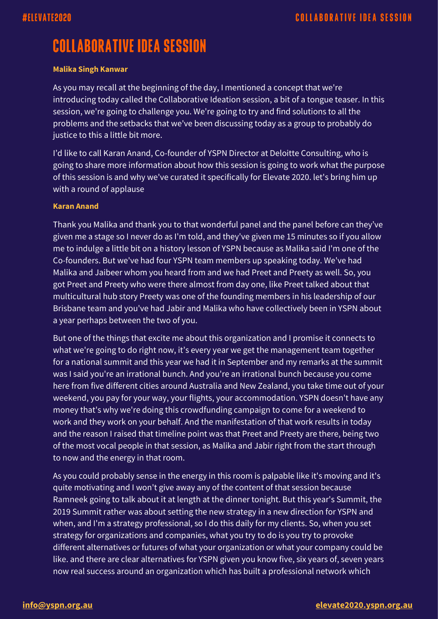# **COLLABORATIVE IDEA SESSION**

# **Malika Singh Kanwar**

As you may recall at the beginning of the day, I mentioned a concept that we're introducing today called the Collaborative Ideation session, a bit of a tongue teaser. In this session, we're going to challenge you. We're going to try and find solutions to all the problems and the setbacks that we've been discussing today as a group to probably do justice to this a little bit more.

I'd like to call Karan Anand, Co-founder of YSPN Director at Deloitte Consulting, who is going to share more information about how this session is going to work what the purpose of this session is and why we've curated it specifically for Elevate 2020. let's bring him up with a round of applause

# **Karan Anand**

Thank you Malika and thank you to that wonderful panel and the panel before can they've given me a stage so I never do as I'm told, and they've given me 15 minutes so if you allow me to indulge a little bit on a history lesson of YSPN because as Malika said I'm one of the Co-founders. But we've had four YSPN team members up speaking today. We've had Malika and Jaibeer whom you heard from and we had Preet and Preety as well. So, you got Preet and Preety who were there almost from day one, like Preet talked about that multicultural hub story Preety was one of the founding members in his leadership of our Brisbane team and you've had Jabir and Malika who have collectively been in YSPN about a year perhaps between the two of you.

But one of the things that excite me about this organization and I promise it connects to what we're going to do right now, it's every year we get the management team together for a national summit and this year we had it in September and my remarks at the summit was I said you're an irrational bunch. And you're an irrational bunch because you come here from five different cities around Australia and New Zealand, you take time out of your weekend, you pay for your way, your flights, your accommodation. YSPN doesn't have any money that's why we're doing this crowdfunding campaign to come for a weekend to work and they work on your behalf. And the manifestation of that work results in today and the reason I raised that timeline point was that Preet and Preety are there, being two of the most vocal people in that session, as Malika and Jabir right from the start through to now and the energy in that room.

As you could probably sense in the energy in this room is palpable like it's moving and it's quite motivating and I won't give away any of the content of that session because Ramneek going to talk about it at length at the dinner tonight. But this year's Summit, the 2019 Summit rather was about setting the new strategy in a new direction for YSPN and when, and I'm a strategy professional, so I do this daily for my clients. So, when you set strategy for organizations and companies, what you try to do is you try to provoke different alternatives or futures of what your organization or what your company could be like. and there are clear alternatives for YSPN given you know five, six years of, seven years now real success around an organization which has built a professional network which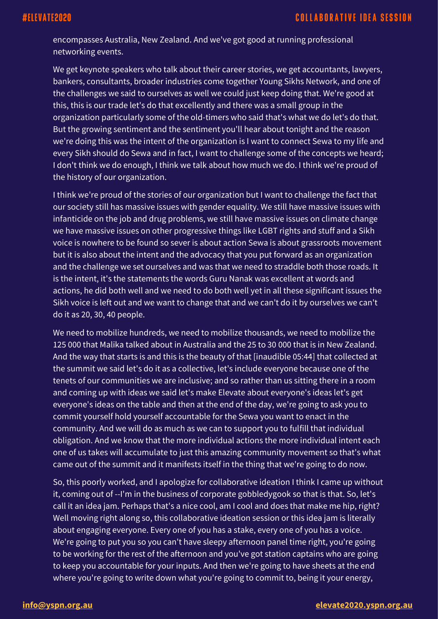encompasses Australia, New Zealand. And we've got good at running professional networking events.

We get keynote speakers who talk about their career stories, we get accountants, lawyers, bankers, consultants, broader industries come together Young Sikhs Network, and one of the challenges we said to ourselves as well we could just keep doing that. We're good at this, this is our trade let's do that excellently and there was a small group in the organization particularly some of the old-timers who said that's what we do let's do that. But the growing sentiment and the sentiment you'll hear about tonight and the reason we're doing this was the intent of the organization is I want to connect Sewa to my life and every Sikh should do Sewa and in fact, I want to challenge some of the concepts we heard; I don't think we do enough, I think we talk about how much we do. I think we're proud of the history of our organization.

I think we're proud of the stories of our organization but I want to challenge the fact that our society still has massive issues with gender equality. We still have massive issues with infanticide on the job and drug problems, we still have massive issues on climate change we have massive issues on other progressive things like LGBT rights and stuff and a Sikh voice is nowhere to be found so sever is about action Sewa is about grassroots movement but it is also about the intent and the advocacy that you put forward as an organization and the challenge we set ourselves and was that we need to straddle both those roads. It is the intent, it's the statements the words Guru Nanak was excellent at words and actions, he did both well and we need to do both well yet in all these significant issues the Sikh voice is left out and we want to change that and we can't do it by ourselves we can't do it as 20, 30, 40 people.

We need to mobilize hundreds, we need to mobilize thousands, we need to mobilize the 125 000 that Malika talked about in Australia and the 25 to 30 000 that is in New Zealand. And the way that starts is and this is the beauty of that [inaudible 05:44] that collected at the summit we said let's do it as a collective, let's include everyone because one of the tenets of our communities we are inclusive; and so rather than us sitting there in a room and coming up with ideas we said let's make Elevate about everyone's ideas let's get everyone's ideas on the table and then at the end of the day, we're going to ask you to commit yourself hold yourself accountable for the Sewa you want to enact in the community. And we will do as much as we can to support you to fulfill that individual obligation. And we know that the more individual actions the more individual intent each one of us takes will accumulate to just this amazing community movement so that's what came out of the summit and it manifests itself in the thing that we're going to do now.

So, this poorly worked, and I apologize for collaborative ideation I think I came up without it, coming out of --I'm in the business of corporate gobbledygook so that is that. So, let's call it an idea jam. Perhaps that's a nice cool, am I cool and does that make me hip, right? Well moving right along so, this collaborative ideation session or this idea jam is literally about engaging everyone. Every one of you has a stake, every one of you has a voice. We're going to put you so you can't have sleepy afternoon panel time right, you're going to be working for the rest of the afternoon and you've got station captains who are going to keep you accountable for your inputs. And then we're going to have sheets at the end where you're going to write down what you're going to commit to, being it your energy,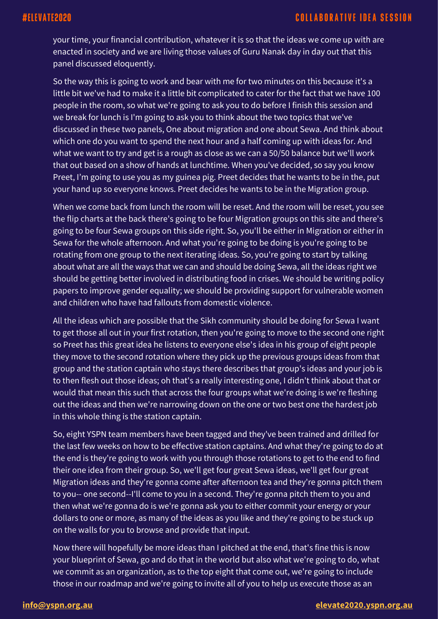your time, your financial contribution, whatever it is so that the ideas we come up with are enacted in society and we are living those values of Guru Nanak day in day out that this panel discussed eloquently.

So the way this is going to work and bear with me for two minutes on this because it's a little bit we've had to make it a little bit complicated to cater for the fact that we have 100 people in the room, so what we're going to ask you to do before I finish this session and we break for lunch is I'm going to ask you to think about the two topics that we've discussed in these two panels, One about migration and one about Sewa. And think about which one do you want to spend the next hour and a half coming up with ideas for. And what we want to try and get is a rough as close as we can a 50/50 balance but we'll work that out based on a show of hands at lunchtime. When you've decided, so say you know Preet, I'm going to use you as my guinea pig. Preet decides that he wants to be in the, put your hand up so everyone knows. Preet decides he wants to be in the Migration group.

When we come back from lunch the room will be reset. And the room will be reset, you see the flip charts at the back there's going to be four Migration groups on this site and there's going to be four Sewa groups on this side right. So, you'll be either in Migration or either in Sewa for the whole afternoon. And what you're going to be doing is you're going to be rotating from one group to the next iterating ideas. So, you're going to start by talking about what are all the ways that we can and should be doing Sewa, all the ideas right we should be getting better involved in distributing food in crises. We should be writing policy papers to improve gender equality; we should be providing support for vulnerable women and children who have had fallouts from domestic violence.

All the ideas which are possible that the Sikh community should be doing for Sewa I want to get those all out in your first rotation, then you're going to move to the second one right so Preet has this great idea he listens to everyone else's idea in his group of eight people they move to the second rotation where they pick up the previous groups ideas from that group and the station captain who stays there describes that group's ideas and your job is to then flesh out those ideas; oh that's a really interesting one, I didn't think about that or would that mean this such that across the four groups what we're doing is we're fleshing out the ideas and then we're narrowing down on the one or two best one the hardest job in this whole thing is the station captain.

So, eight YSPN team members have been tagged and they've been trained and drilled for the last few weeks on how to be effective station captains. And what they're going to do at the end is they're going to work with you through those rotations to get to the end to find their one idea from their group. So, we'll get four great Sewa ideas, we'll get four great Migration ideas and they're gonna come after afternoon tea and they're gonna pitch them to you-- one second--I'll come to you in a second. They're gonna pitch them to you and then what we're gonna do is we're gonna ask you to either commit your energy or your dollars to one or more, as many of the ideas as you like and they're going to be stuck up on the walls for you to browse and provide that input.

Now there will hopefully be more ideas than I pitched at the end, that's fine this is now your blueprint of Sewa, go and do that in the world but also what we're going to do, what we commit as an organization, as to the top eight that come out, we're going to include those in our roadmap and we're going to invite all of you to help us execute those as an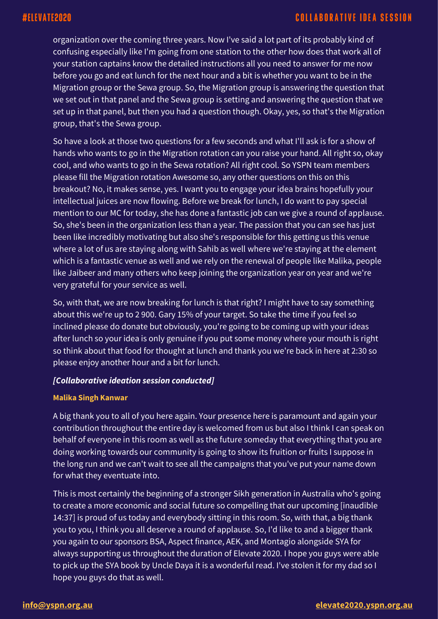organization over the coming three years. Now I've said a lot part of its probably kind of confusing especially like I'm going from one station to the other how does that work all of your station captains know the detailed instructions all you need to answer for me now before you go and eat lunch for the next hour and a bit is whether you want to be in the Migration group or the Sewa group. So, the Migration group is answering the question that we set out in that panel and the Sewa group is setting and answering the question that we set up in that panel, but then you had a question though. Okay, yes, so that's the Migration group, that's the Sewa group.

So have a look at those two questions for a few seconds and what I'll ask is for a show of hands who wants to go in the Migration rotation can you raise your hand. All right so, okay cool, and who wants to go in the Sewa rotation? All right cool. So YSPN team members please fill the Migration rotation Awesome so, any other questions on this on this breakout? No, it makes sense, yes. I want you to engage your idea brains hopefully your intellectual juices are now flowing. Before we break for lunch, I do want to pay special mention to our MC for today, she has done a fantastic job can we give a round of applause. So, she's been in the organization less than a year. The passion that you can see has just been like incredibly motivating but also she's responsible for this getting us this venue where a lot of us are staying along with Sahib as well where we're staying at the element which is a fantastic venue as well and we rely on the renewal of people like Malika, people like Jaibeer and many others who keep joining the organization year on year and we're very grateful for your service as well.

So, with that, we are now breaking for lunch is that right? I might have to say something about this we're up to 2 900. Gary 15% of your target. So take the time if you feel so inclined please do donate but obviously, you're going to be coming up with your ideas after lunch so your idea is only genuine if you put some money where your mouth is right so think about that food for thought at lunch and thank you we're back in here at 2:30 so please enjoy another hour and a bit for lunch.

# *[Collaborative ideation session conducted]*

### **Malika Singh Kanwar**

A big thank you to all of you here again. Your presence here is paramount and again your contribution throughout the entire day is welcomed from us but also I think I can speak on behalf of everyone in this room as well as the future someday that everything that you are doing working towards our community is going to show its fruition or fruits I suppose in the long run and we can't wait to see all the campaigns that you've put your name down for what they eventuate into.

This is most certainly the beginning of a stronger Sikh generation in Australia who's going to create a more economic and social future so compelling that our upcoming [inaudible 14:37] is proud of us today and everybody sitting in this room. So, with that, a big thank you to you, I think you all deserve a round of applause. So, I'd like to and a bigger thank you again to our sponsors BSA, Aspect finance, AEK, and Montagio alongside SYA for always supporting us throughout the duration of Elevate 2020. I hope you guys were able to pick up the SYA book by Uncle Daya it is a wonderful read. I've stolen it for my dad so I hope you guys do that as well.